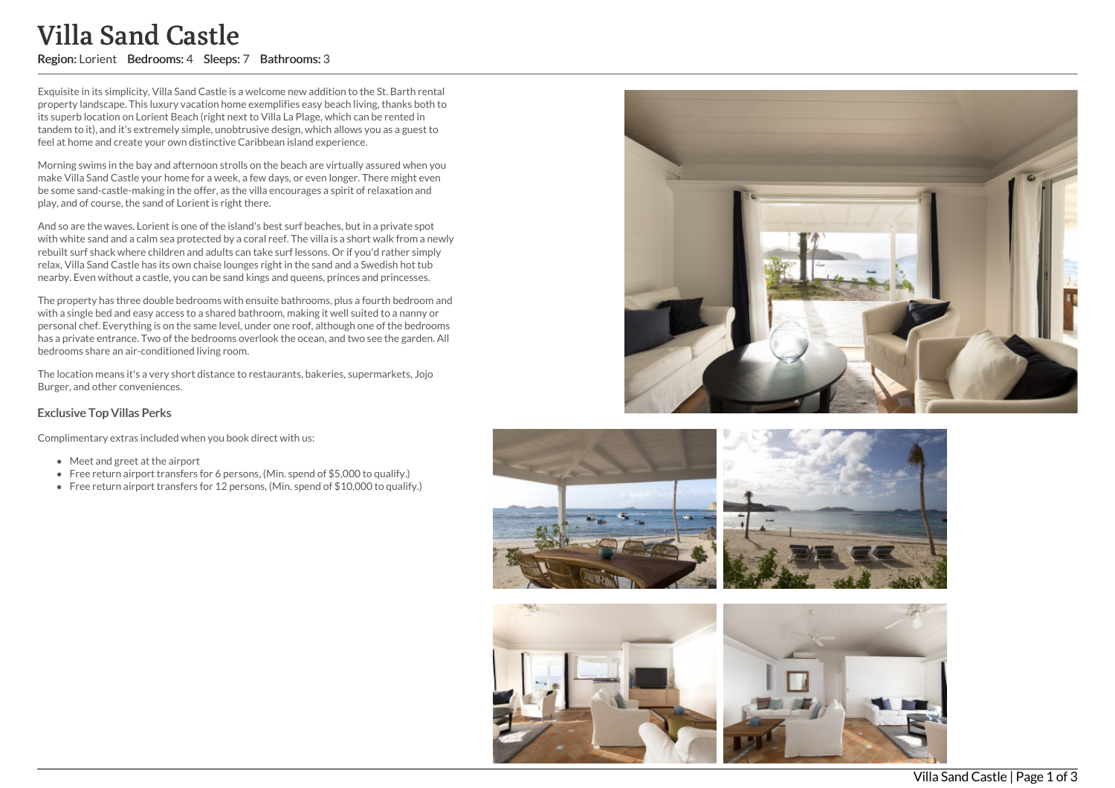## Villa Sand Castle

Region: Lorient Bedrooms: 4 Sleeps: 7 Bathrooms: 3

Exquisite in its simplicity, Villa Sand Castle is a welcome new addition to the St. Barth rental property landscape. This luxury vacation home exemplifies easy beach living, thanks both to its superb location on Lorient Beach (right next to Villa La Plage, which can be rented in tandem to it), and it's extremely simple, unobtrusive design, which allows you as a guest to feel at home and create your own distinctive Caribbean island experience.

Morning swims in the bay and afternoon strolls on the beach are virtually assured when you make Villa Sand Castle your home for a week, a few days, or even longer. There might even be some sand-castle-making in the offer, as the villa encourages a spirit of relaxation and play, and of course, the sand of Lorient is right there.

And so are the waves. Lorient is one of the island's best surf beaches, but in a private spot with white sand and a calm sea protected by a coral reef. The villa is a short walk from a newly rebuilt surf shack where children and adults can take surf lessons. Or if you'd rather simply relax, Villa Sand Castle has its own chaise lounges right in the sand and a Swedish hot tub nearby. Even without a castle, you can be sand kings and queens, princes and princesses.

The property has three double bedrooms with ensuite bathrooms, plus a fourth bedroom and with a single bed and easy access to a shared bathroom, making it well suited to a nanny or personal chef. Everything is on the same level, under one roof, although one of the bedrooms has a private entrance. Two of the bedrooms overlook the ocean, and two see the garden. All bedrooms share an air-conditioned living room.

The location means it's a very short distance to restaurants, bakeries, supermarkets, Jojo Burger, and other conveniences.

## Exclusive Top Villas Perks

Complimentary extras included when you book direct with us:

- Meet and greet at the airport
- Free return airport transfers for 6 persons, (Min. spend of \$5,000 to qualify.)
- Free return airport transfers for 12 persons, (Min. spend of \$10,000 to qualify.)



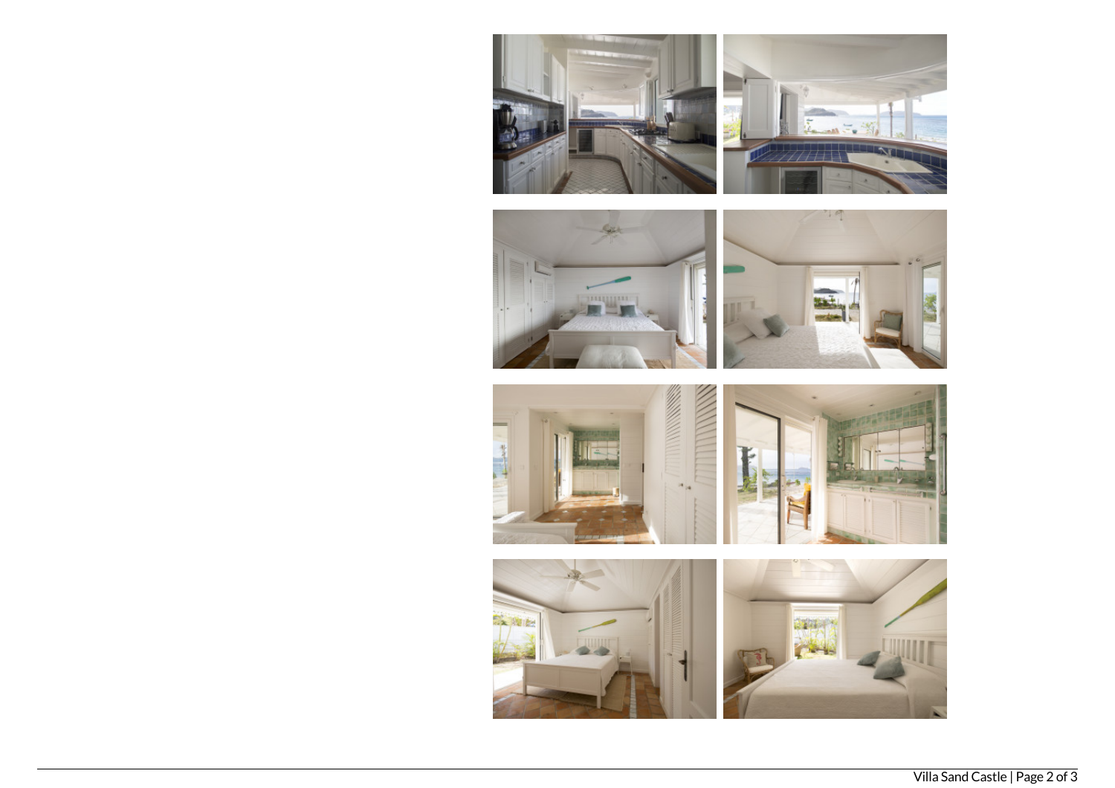